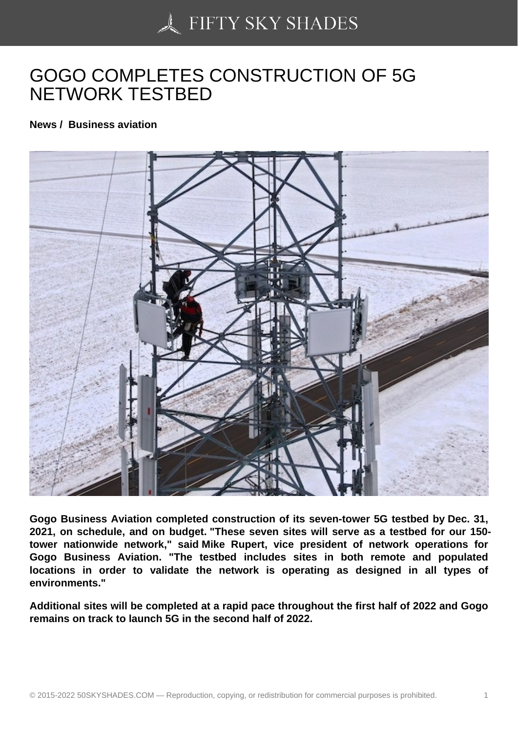## [GOGO COMPLETES C](https://50skyshades.com)ONSTRUCTION OF 5G NETWORK TESTBED

News / Business aviation

Gogo Business Aviation completed construction of its seven-tower 5G testbed by Dec. 31, 2021, on schedule, and on budget. "These seven sites will serve as a testbed for our 150 tower nationwide network," said Mike Rupert, vice president of network operations for Gogo Business Aviation. "The testbed includes sites in both remote and populated locations in order to validate the network is operating as designed in all types of environments."

Additional sites will be completed at a rapid pace throughout the first half of 2022 and Gogo remains on track to launch 5G in the second half of 2022.